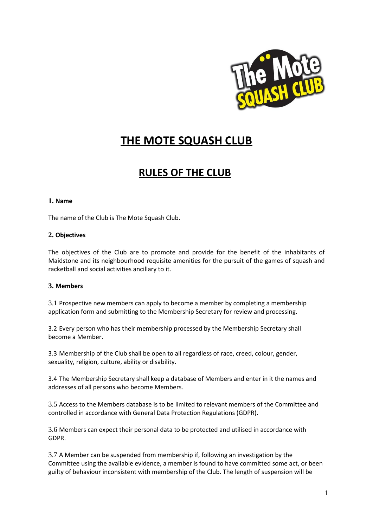

# **THE MOTE SQUASH CLUB**

# **RULES OF THE CLUB**

#### **1. Name**

The name of the Club is The Mote Squash Club.

#### **2. Objectives**

The objectives of the Club are to promote and provide for the benefit of the inhabitants of Maidstone and its neighbourhood requisite amenities for the pursuit of the games of squash and racketball and social activities ancillary to it.

### **3. Members**

3.1 Prospective new members can apply to become a member by completing a membership application form and submitting to the Membership Secretary for review and processing.

3.2 Every person who has their membership processed by the Membership Secretary shall become a Member.

3.3 Membership of the Club shall be open to all regardless of race, creed, colour, gender, sexuality, religion, culture, ability or disability.

3.4 The Membership Secretary shall keep a database of Members and enter in it the names and addresses of all persons who become Members.

3.5 Access to the Members database is to be limited to relevant members of the Committee and controlled in accordance with General Data Protection Regulations (GDPR).

3.6 Members can expect their personal data to be protected and utilised in accordance with GDPR.

3.7 A Member can be suspended from membership if, following an investigation by the Committee using the available evidence, a member is found to have committed some act, or been guilty of behaviour inconsistent with membership of the Club. The length of suspension will be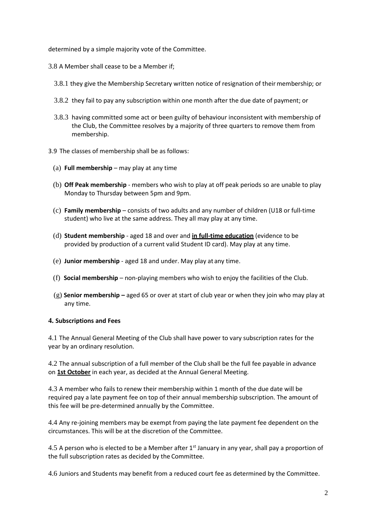determined by a simple majority vote of the Committee.

- 3.8 A Member shall cease to be a Member if;
	- 3.8.1 they give the Membership Secretary written notice of resignation of their membership; or
	- 3.8.2 they fail to pay any subscription within one month after the due date of payment; or
	- 3.8.3 having committed some act or been guilty of behaviour inconsistent with membership of the Club, the Committee resolves by a majority of three quarters to remove them from membership.
- 3.9 The classes of membership shall be as follows:
	- (a) **Full membership** may play at any time
	- (b) **Off Peak membership** members who wish to play at off peak periods so are unable to play Monday to Thursday between 5pm and 9pm.
	- (c) **Family membership** consists of two adults and any number of children (U18 or full-time student) who live at the same address. They all may play at any time.
	- (d) **Student membership** aged 18 and over and **in full-time education** (evidence to be provided by production of a current valid Student ID card). May play at any time.
	- (e) **Junior membership** aged 18 and under. May play at any time.
	- (f) **Social membership** non-playing members who wish to enjoy the facilities of the Club.
	- (g) **Senior membership –** aged 65 or over at start of club year or when they join who may play at any time.

### **4. Subscriptions and Fees**

4.1 The Annual General Meeting of the Club shall have power to vary subscription rates for the year by an ordinary resolution.

4.2 The annual subscription of a full member of the Club shall be the full fee payable in advance on **1st October** in each year, as decided at the Annual General Meeting.

4.3 A member who fails to renew their membership within 1 month of the due date will be required pay a late payment fee on top of their annual membership subscription. The amount of this fee will be pre-determined annually by the Committee.

4.4 Any re-joining members may be exempt from paying the late payment fee dependent on the circumstances. This will be at the discretion of the Committee.

4.5 A person who is elected to be a Member after 1<sup>st</sup> January in any year, shall pay a proportion of the full subscription rates as decided by the Committee.

4.6 Juniors and Students may benefit from a reduced court fee as determined by the Committee.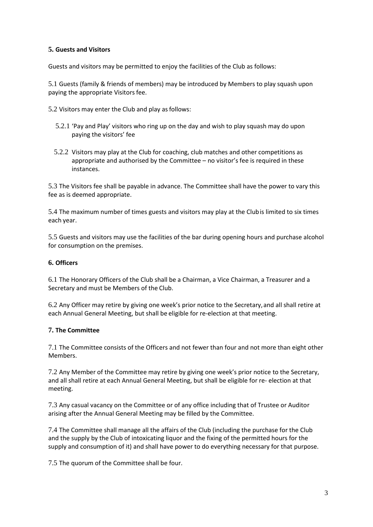### **5. Guests and Visitors**

Guests and visitors may be permitted to enjoy the facilities of the Club as follows:

5.1 Guests (family & friends of members) may be introduced by Members to play squash upon paying the appropriate Visitors fee.

- 5.2 Visitors may enter the Club and play as follows:
	- 5.2.1 'Pay and Play' visitors who ring up on the day and wish to play squash may do upon paying the visitors' fee
	- 5.2.2 Visitors may play at the Club for coaching, club matches and other competitions as appropriate and authorised by the Committee – no visitor's fee is required in these instances.

5.3 The Visitors fee shall be payable in advance. The Committee shall have the power to vary this fee as is deemed appropriate.

5.4 The maximum number of times guests and visitors may play at the Clubis limited to six times each year.

5.5 Guests and visitors may use the facilities of the bar during opening hours and purchase alcohol for consumption on the premises.

#### **6. Officers**

6.1 The Honorary Officers of the Club shall be a Chairman, a Vice Chairman, a Treasurer and a Secretary and must be Members of the Club.

6.2 Any Officer may retire by giving one week's prior notice to the Secretary,and all shall retire at each Annual General Meeting, but shall be eligible for re-election at that meeting.

### **7. The Committee**

7.1 The Committee consists of the Officers and not fewer than four and not more than eight other Members.

7.2 Any Member of the Committee may retire by giving one week's prior notice to the Secretary, and all shall retire at each Annual General Meeting, but shall be eligible for re- election at that meeting.

7.3 Any casual vacancy on the Committee or of any office including that of Trustee or Auditor arising after the Annual General Meeting may be filled by the Committee.

7.4 The Committee shall manage all the affairs of the Club (including the purchase for the Club and the supply by the Club of intoxicating liquor and the fixing of the permitted hours for the supply and consumption of it) and shall have power to do everything necessary for that purpose.

7.5 The quorum of the Committee shall be four.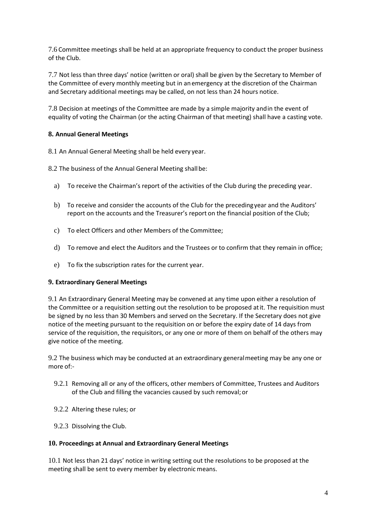7.6 Committee meetings shall be held at an appropriate frequency to conduct the proper business of the Club.

7.7 Not less than three days' notice (written or oral) shall be given by the Secretary to Member of the Committee of every monthly meeting but in anemergency at the discretion of the Chairman and Secretary additional meetings may be called, on not less than 24 hours notice.

7.8 Decision at meetings of the Committee are made by a simple majority andin the event of equality of voting the Chairman (or the acting Chairman of that meeting) shall have a casting vote.

### **8. Annual General Meetings**

8.1 An Annual General Meeting shall be held every year.

8.2 The business of the Annual General Meeting shall be:

- a) To receive the Chairman's report of the activities of the Club during the preceding year.
- b) To receive and consider the accounts of the Club for the precedingyear and the Auditors' report on the accounts and the Treasurer's report on the financial position of the Club;
- c) To elect Officers and other Members of the Committee;
- d) To remove and elect the Auditors and the Trustees or to confirm that they remain in office;
- e) To fix the subscription rates for the current year.

#### **9. Extraordinary General Meetings**

9.1 An Extraordinary General Meeting may be convened at any time upon either a resolution of the Committee or a requisition setting out the resolution to be proposed atit. The requisition must be signed by no less than 30 Members and served on the Secretary. If the Secretary does not give notice of the meeting pursuant to the requisition on or before the expiry date of 14 days from service of the requisition, the requisitors, or any one or more of them on behalf of the others may give notice of the meeting.

9.2 The business which may be conducted at an extraordinary generalmeeting may be any one or more of:-

- 9.2.1 Removing all or any of the officers, other members of Committee, Trustees and Auditors of the Club and filling the vacancies caused by such removal; or
- 9.2.2 Altering these rules; or
- 9.2.3 Dissolving the Club.

#### **10. Proceedings at Annual and Extraordinary General Meetings**

10.1 Not less than 21 days' notice in writing setting out the resolutions to be proposed at the meeting shall be sent to every member by electronic means.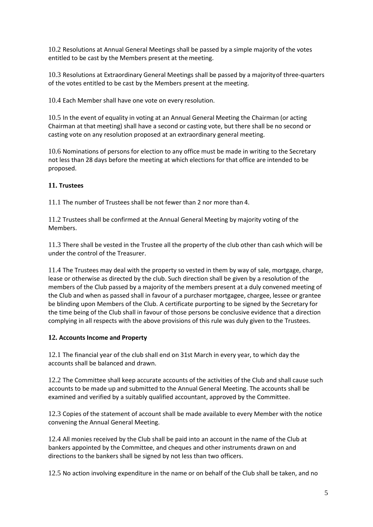10.2 Resolutions at Annual General Meetings shall be passed by a simple majority of the votes entitled to be cast by the Members present at the meeting.

10.3 Resolutions at Extraordinary General Meetings shall be passed by a majorityof three-quarters of the votes entitled to be cast by the Members present at the meeting.

10.4 Each Member shall have one vote on every resolution.

10.5 In the event of equality in voting at an Annual General Meeting the Chairman (or acting Chairman at that meeting) shall have a second or casting vote, but there shall be no second or casting vote on any resolution proposed at an extraordinary general meeting.

10.6 Nominations of persons for election to any office must be made in writing to the Secretary not less than 28 days before the meeting at which elections for that office are intended to be proposed.

## **11. Trustees**

11.1 The number of Trustees shall be not fewer than 2 nor more than 4.

11.2 Trustees shall be confirmed at the Annual General Meeting by majority voting of the Members.

11.3 There shall be vested in the Trustee all the property of the club other than cash which will be under the control of the Treasurer.

11.4 The Trustees may deal with the property so vested in them by way of sale, mortgage, charge, lease or otherwise as directed by the club. Such direction shall be given by a resolution of the members of the Club passed by a majority of the members present at a duly convened meeting of the Club and when as passed shall in favour of a purchaser mortgagee, chargee, lessee or grantee be blinding upon Members of the Club. A certificate purporting to be signed by the Secretary for the time being of the Club shall in favour of those persons be conclusive evidence that a direction complying in all respects with the above provisions of this rule was duly given to the Trustees.

### **12. Accounts Income and Property**

12.1 The financial year of the club shall end on 31st March in every year, to which day the accounts shall be balanced and drawn.

12.2 The Committee shall keep accurate accounts of the activities of the Club and shall cause such accounts to be made up and submitted to the Annual General Meeting. The accounts shall be examined and verified by a suitably qualified accountant, approved by the Committee.

12.3 Copies of the statement of account shall be made available to every Member with the notice convening the Annual General Meeting.

12.4 All monies received by the Club shall be paid into an account in the name of the Club at bankers appointed by the Committee, and cheques and other instruments drawn on and directions to the bankers shall be signed by not less than two officers.

12.5 No action involving expenditure in the name or on behalf of the Club shall be taken, and no